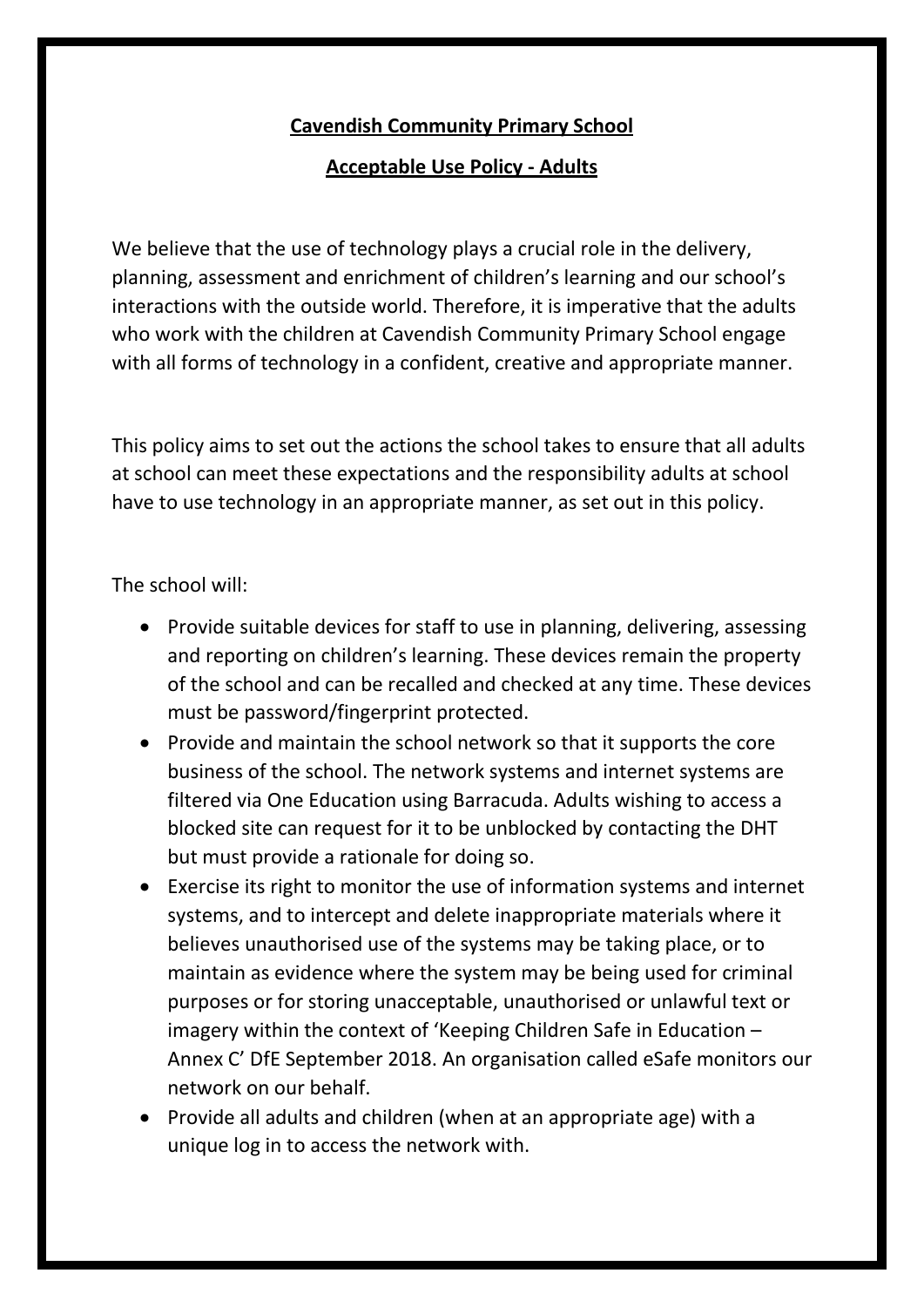## **Cavendish Community Primary School**

## **Acceptable Use Policy - Adults**

We believe that the use of technology plays a crucial role in the delivery, planning, assessment and enrichment of children's learning and our school's interactions with the outside world. Therefore, it is imperative that the adults who work with the children at Cavendish Community Primary School engage with all forms of technology in a confident, creative and appropriate manner.

This policy aims to set out the actions the school takes to ensure that all adults at school can meet these expectations and the responsibility adults at school have to use technology in an appropriate manner, as set out in this policy.

The school will:

- Provide suitable devices for staff to use in planning, delivering, assessing and reporting on children's learning. These devices remain the property of the school and can be recalled and checked at any time. These devices must be password/fingerprint protected.
- Provide and maintain the school network so that it supports the core business of the school. The network systems and internet systems are filtered via One Education using Barracuda. Adults wishing to access a blocked site can request for it to be unblocked by contacting the DHT but must provide a rationale for doing so.
- Exercise its right to monitor the use of information systems and internet systems, and to intercept and delete inappropriate materials where it believes unauthorised use of the systems may be taking place, or to maintain as evidence where the system may be being used for criminal purposes or for storing unacceptable, unauthorised or unlawful text or imagery within the context of 'Keeping Children Safe in Education – Annex C' DfE September 2018. An organisation called eSafe monitors our network on our behalf.
- Provide all adults and children (when at an appropriate age) with a unique log in to access the network with.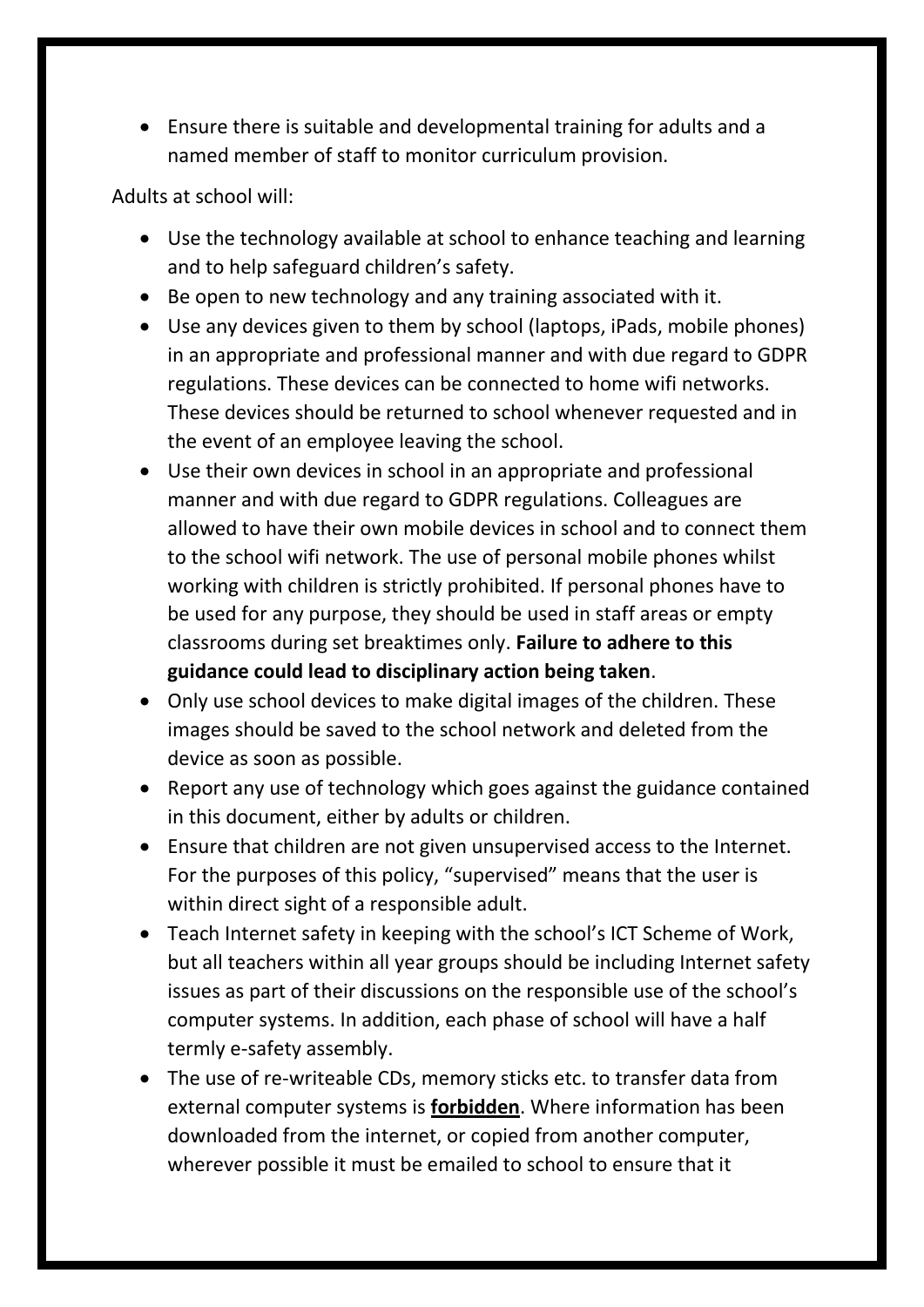Ensure there is suitable and developmental training for adults and a named member of staff to monitor curriculum provision.

Adults at school will:

- Use the technology available at school to enhance teaching and learning and to help safeguard children's safety.
- Be open to new technology and any training associated with it.
- Use any devices given to them by school (laptops, iPads, mobile phones) in an appropriate and professional manner and with due regard to GDPR regulations. These devices can be connected to home wifi networks. These devices should be returned to school whenever requested and in the event of an employee leaving the school.
- Use their own devices in school in an appropriate and professional manner and with due regard to GDPR regulations. Colleagues are allowed to have their own mobile devices in school and to connect them to the school wifi network. The use of personal mobile phones whilst working with children is strictly prohibited. If personal phones have to be used for any purpose, they should be used in staff areas or empty classrooms during set breaktimes only. **Failure to adhere to this guidance could lead to disciplinary action being taken**.
- Only use school devices to make digital images of the children. These images should be saved to the school network and deleted from the device as soon as possible.
- Report any use of technology which goes against the guidance contained in this document, either by adults or children.
- Ensure that children are not given unsupervised access to the Internet. For the purposes of this policy, "supervised" means that the user is within direct sight of a responsible adult.
- Teach Internet safety in keeping with the school's ICT Scheme of Work, but all teachers within all year groups should be including Internet safety issues as part of their discussions on the responsible use of the school's computer systems. In addition, each phase of school will have a half termly e-safety assembly.
- The use of re-writeable CDs, memory sticks etc. to transfer data from external computer systems is **forbidden**. Where information has been downloaded from the internet, or copied from another computer, wherever possible it must be emailed to school to ensure that it